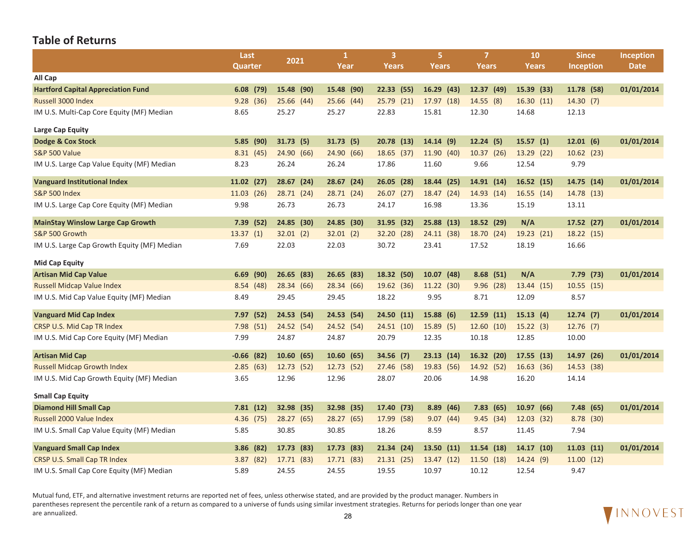|                                             | Last         | 2021       | $\mathbf{1}$ | $\overline{3}$ | 5.         | $\overline{7}$ | 10            | <b>Since</b>     | Inception   |
|---------------------------------------------|--------------|------------|--------------|----------------|------------|----------------|---------------|------------------|-------------|
|                                             | Quarter      |            | Year         | Years          | Years      | Years          | Years         | <b>Inception</b> | <b>Date</b> |
| All Cap                                     |              |            |              |                |            |                |               |                  |             |
| <b>Hartford Capital Appreciation Fund</b>   | $6.08$ (79)  | 15.48 (90) | 15.48 (90)   | 22.33(55)      | 16.29(43)  | 12.37 (49)     | 15.39 (33)    | 11.78 (58)       | 01/01/2014  |
| Russell 3000 Index                          | 9.28(36)     | 25.66 (44) | 25.66 (44)   | 25.79(21)      | 17.97 (18) | 14.55(8)       | 16.30(11)     | 14.30(7)         |             |
| IM U.S. Multi-Cap Core Equity (MF) Median   | 8.65         | 25.27      | 25.27        | 22.83          | 15.81      | 12.30          | 14.68         | 12.13            |             |
| Large Cap Equity                            |              |            |              |                |            |                |               |                  |             |
| Dodge & Cox Stock                           | 5.85(90)     | 31.73(5)   | 31.73(5)     | 20.78(13)      | 14.14(9)   | 12.24(5)       | 15.57(1)      | 12.01(6)         | 01/01/2014  |
| <b>S&amp;P 500 Value</b>                    | 8.31(45)     | 24.90 (66) | 24.90 (66)   | 18.65 (37)     | 11.90 (40) | 10.37 (26)     | 13.29 (22)    | 10.62(23)        |             |
| IM U.S. Large Cap Value Equity (MF) Median  | 8.23         | 26.24      | 26.24        | 17.86          | 11.60      | 9.66           | 12.54         | 9.79             |             |
| <b>Vanguard Institutional Index</b>         | $11.02$ (27) | 28.67 (24) | 28.67(24)    | 26.05 (28)     | 18.44 (25) | 14.91 (14)     | 16.52(15)     | 14.75 (14)       | 01/01/2014  |
| <b>S&amp;P 500 Index</b>                    | 11.03 (26)   | 28.71 (24) | 28.71 (24)   | 26.07(27)      | 18.47 (24) | 14.93 (14)     | 16.55(14)     | 14.78 (13)       |             |
| IM U.S. Large Cap Core Equity (MF) Median   | 9.98         | 26.73      | 26.73        | 24.17          | 16.98      | 13.36          | 15.19         | 13.11            |             |
| <b>MainStay Winslow Large Cap Growth</b>    | 7.39 (52)    | 24.85 (30) | 24.85 (30)   | 31.95 (32)     | 25.88 (13) | 18.52 (29)     | N/A           | 17.52 (27)       | 01/01/2014  |
| S&P 500 Growth                              | 13.37(1)     | 32.01(2)   | 32.01(2)     | 32.20 (28)     | 24.11(38)  | 18.70 (24)     | 19.23 (21)    | 18.22 (15)       |             |
| IM U.S. Large Cap Growth Equity (MF) Median | 7.69         | 22.03      | 22.03        | 30.72          | 23.41      | 17.52          | 18.19         | 16.66            |             |
| <b>Mid Cap Equity</b>                       |              |            |              |                |            |                |               |                  |             |
| <b>Artisan Mid Cap Value</b>                | 6.69<br>(90) | 26.65(83)  | 26.65 (83)   | 18.32 (50)     | 10.07(48)  | 8.68(51)       | N/A           | 7.79(73)         | 01/01/2014  |
| <b>Russell Midcap Value Index</b>           | 8.54(48)     | 28.34 (66) | 28.34 (66)   | 19.62 (36)     | 11.22 (30) | 9.96(28)       | 13.44 (15)    | 10.55(15)        |             |
| IM U.S. Mid Cap Value Equity (MF) Median    | 8.49         | 29.45      | 29.45        | 18.22          | 9.95       | 8.71           | 12.09         | 8.57             |             |
| <b>Vanguard Mid Cap Index</b>               | 7.97 (52)    | 24.53 (54) | 24.53 (54)   | 24.50(11)      | 15.88(6)   | 12.59(11)      | 15.13(4)      | 12.74(7)         | 01/01/2014  |
| CRSP U.S. Mid Cap TR Index                  | 7.98(51)     | 24.52 (54) | 24.52 (54)   | 24.51(10)      | 15.89(5)   | 12.60(10)      | 15.22(3)      | 12.76(7)         |             |
| IM U.S. Mid Cap Core Equity (MF) Median     | 7.99         | 24.87      | 24.87        | 20.79          | 12.35      | 10.18          | 12.85         | 10.00            |             |
| <b>Artisan Mid Cap</b>                      | $-0.66$ (82) | 10.60(65)  | 10.60(65)    | 34.56 (7)      | 23.13(14)  | 16.32 (20)     | 17.55 (13)    | 14.97 (26)       | 01/01/2014  |
| <b>Russell Midcap Growth Index</b>          | 2.85(63)     | 12.73 (52) | 12.73 (52)   | 27.46 (58)     | 19.83 (56) | 14.92 (52)     | 16.63 (36)    | 14.53 (38)       |             |
| IM U.S. Mid Cap Growth Equity (MF) Median   | 3.65         | 12.96      | 12.96        | 28.07          | 20.06      | 14.98          | 16.20         | 14.14            |             |
| <b>Small Cap Equity</b>                     |              |            |              |                |            |                |               |                  |             |
| <b>Diamond Hill Small Cap</b>               | 7.81(12)     | 32.98 (35) | 32.98 (35)   | 17.40 (73)     | 8.89 (46)  | 7.83(65)       | 10.97(66)     | 7.48(65)         | 01/01/2014  |
| Russell 2000 Value Index                    | 4.36 (75)    | 28.27 (65) | 28.27 (65)   | 17.99 (58)     | 9.07(44)   | 9.45(34)       | 12.03 (32)    | 8.78 (30)        |             |
| IM U.S. Small Cap Value Equity (MF) Median  | 5.85         | 30.85      | 30.85        | 18.26          | 8.59       | 8.57           | 11.45         | 7.94             |             |
| <b>Vanguard Small Cap Index</b>             | 3.86<br>(82) | 17.73 (83) | 17.73 (83)   | 21.34 (24)     | 13.50(11)  | 11.54 (18)     | 14.17<br>(10) | 11.03(11)        | 01/01/2014  |
| CRSP U.S. Small Cap TR Index                | 3.87(82)     | 17.71 (83) | 17.71 (83)   | 21.31(25)      | 13.47 (12) | 11.50(18)      | 14.24(9)      | 11.00(12)        |             |
| IM U.S. Small Cap Core Equity (MF) Median   | 5.89         | 24.55      | 24.55        | 19.55          | 10.97      | 10.12          | 12.54         | 9.47             |             |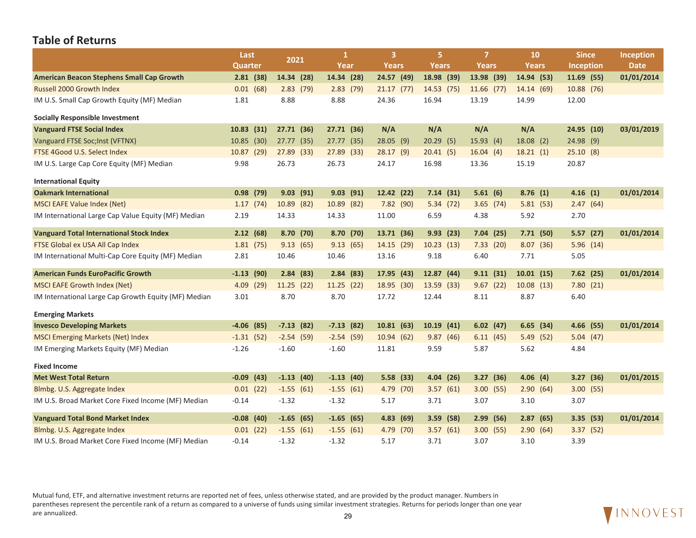|                                                      | Last            | 2021        | 1           | 3            | 5.           | 7            | <b>10</b>    | <b>Since</b>     | <b>Inception</b> |
|------------------------------------------------------|-----------------|-------------|-------------|--------------|--------------|--------------|--------------|------------------|------------------|
|                                                      | Quarter         |             | Year        | <b>Years</b> | <b>Years</b> | Years        | <b>Years</b> | <b>Inception</b> | <b>Date</b>      |
| <b>American Beacon Stephens Small Cap Growth</b>     | 2.81(38)        | 14.34 (28)  | 14.34 (28)  | 24.57 (49)   | 18.98 (39)   | 13.98 (39)   | 14.94 (53)   | 11.69 (55)       | 01/01/2014       |
| <b>Russell 2000 Growth Index</b>                     | 0.01(68)        | 2.83(79)    | 2.83(79)    | 21.17(77)    | 14.53 (75)   | $11.66$ (77) | 14.14 (69)   | 10.88 (76)       |                  |
| IM U.S. Small Cap Growth Equity (MF) Median          | 1.81            | 8.88        | 8.88        | 24.36        | 16.94        | 13.19        | 14.99        | 12.00            |                  |
| <b>Socially Responsible Investment</b>               |                 |             |             |              |              |              |              |                  |                  |
| <b>Vanguard FTSE Social Index</b>                    | 10.83(31)       | 27.71 (36)  | 27.71 (36)  | N/A          | N/A          | N/A          | N/A          | 24.95 (10)       | 03/01/2019       |
| Vanguard FTSE Soc; Inst (VFTNX)                      | 10.85 (30)      | 27.77 (35)  | 27.77 (35)  | 28.05(9)     | 20.29(5)     | 15.93(4)     | 18.08(2)     | $24.98$ (9)      |                  |
| FTSE 4Good U.S. Select Index                         | 10.87 (29)      | 27.89 (33)  | 27.89 (33)  | 28.17(9)     | 20.41(5)     | 16.04(4)     | 18.21(1)     | 25.10(8)         |                  |
| IM U.S. Large Cap Core Equity (MF) Median            | 9.98            | 26.73       | 26.73       | 24.17        | 16.98        | 13.36        | 15.19        | 20.87            |                  |
| <b>International Equity</b>                          |                 |             |             |              |              |              |              |                  |                  |
| <b>Oakmark International</b>                         | $0.98$ (79)     | $9.03$ (91) | $9.03$ (91) | 12.42 (22)   | 7.14(31)     | 5.61(6)      | 8.76(1)      | 4.16(1)          | 01/01/2014       |
| <b>MSCI EAFE Value Index (Net)</b>                   | 1.17(74)        | 10.89 (82)  | 10.89 (82)  | 7.82 (90)    | 5.34(72)     | 3.65(74)     | 5.81(53)     | 2.47(64)         |                  |
| IM International Large Cap Value Equity (MF) Median  | 2.19            | 14.33       | 14.33       | 11.00        | 6.59         | 4.38         | 5.92         | 2.70             |                  |
| <b>Vanguard Total International Stock Index</b>      | 2.12(68)        | 8.70(70)    | 8.70(70)    | 13.71 (36)   | 9.93(23)     | 7.04(25)     | 7.71(50)     | 5.57(27)         | 01/01/2014       |
| FTSE Global ex USA All Cap Index                     | 1.81(75)        | 9.13(65)    | 9.13(65)    | 14.15 (29)   | 10.23(13)    | 7.33(20)     | 8.07(36)     | 5.96(14)         |                  |
| IM International Multi-Cap Core Equity (MF) Median   | 2.81            | 10.46       | 10.46       | 13.16        | 9.18         | 6.40         | 7.71         | 5.05             |                  |
| <b>American Funds EuroPacific Growth</b>             | $-1.13$ (90)    | 2.84(83)    | 2.84(83)    | 17.95 (43)   | 12.87 (44)   | 9.11(31)     | 10.01(15)    | 7.62(25)         | 01/01/2014       |
| <b>MSCI EAFE Growth Index (Net)</b>                  | 4.09 (29)       | 11.25 (22)  | 11.25 (22)  | 18.95 (30)   | 13.59 (33)   | 9.67(22)     | 10.08(13)    | 7.80(21)         |                  |
| IM International Large Cap Growth Equity (MF) Median | 3.01            | 8.70        | 8.70        | 17.72        | 12.44        | 8.11         | 8.87         | 6.40             |                  |
| <b>Emerging Markets</b>                              |                 |             |             |              |              |              |              |                  |                  |
| <b>Invesco Developing Markets</b>                    | $-4.06$ (85)    | $-7.13(82)$ | $-7.13(82)$ | 10.81(63)    | 10.19(41)    | 6.02(47)     | 6.65(34)     | 4.66 (55)        | 01/01/2014       |
| <b>MSCI Emerging Markets (Net) Index</b>             | $-1.31(52)$     | $-2.54(59)$ | $-2.54(59)$ | 10.94(62)    | 9.87(46)     | 6.11(45)     | 5.49(52)     | 5.04(47)         |                  |
| IM Emerging Markets Equity (MF) Median               | $-1.26$         | $-1.60$     | $-1.60$     | 11.81        | 9.59         | 5.87         | 5.62         | 4.84             |                  |
| <b>Fixed Income</b>                                  |                 |             |             |              |              |              |              |                  |                  |
| <b>Met West Total Return</b>                         | $-0.09$<br>(43) | $-1.13(40)$ | $-1.13(40)$ | 5.58(33)     | 4.04(26)     | 3.27(36)     | 4.06(4)      | 3.27(36)         | 01/01/2015       |
| Blmbg. U.S. Aggregate Index                          | $0.01$ (22)     | $-1.55(61)$ | $-1.55(61)$ | 4.79 (70)    | 3.57(61)     | 3.00(55)     | 2.90(64)     | 3.00(55)         |                  |
| IM U.S. Broad Market Core Fixed Income (MF) Median   | $-0.14$         | $-1.32$     | $-1.32$     | 5.17         | 3.71         | 3.07         | 3.10         | 3.07             |                  |
| <b>Vanguard Total Bond Market Index</b>              | $-0.08$ (40)    | $-1.65(65)$ | $-1.65(65)$ | 4.83(69)     | $3.59$ (58)  | 2.99<br>(56) | 2.87<br>(65) | 3.35(53)         | 01/01/2014       |
| Blmbg. U.S. Aggregate Index                          | $0.01$ (22)     | $-1.55(61)$ | $-1.55(61)$ | 4.79 (70)    | 3.57(61)     | 3.00(55)     | 2.90(64)     | 3.37(52)         |                  |
| IM U.S. Broad Market Core Fixed Income (MF) Median   | $-0.14$         | $-1.32$     | $-1.32$     | 5.17         | 3.71         | 3.07         | 3.10         | 3.39             |                  |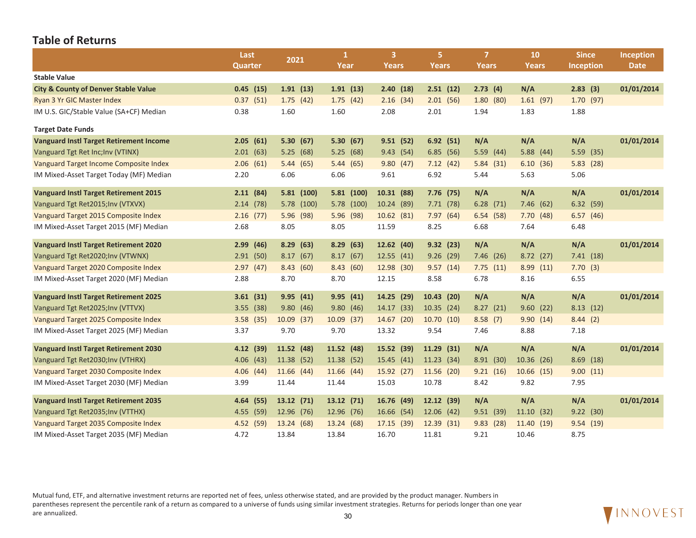|                                                 | Last           |              | $\mathbf{1}$ | 3 <sup>1</sup> | 5.           | $\overline{7}$ | 10             | <b>Since</b>     | <b>Inception</b> |
|-------------------------------------------------|----------------|--------------|--------------|----------------|--------------|----------------|----------------|------------------|------------------|
|                                                 | <b>Quarter</b> | 2021         | Year         | Years          | Years        | Years          | Years          | <b>Inception</b> | <b>Date</b>      |
| <b>Stable Value</b>                             |                |              |              |                |              |                |                |                  |                  |
| <b>City &amp; County of Denver Stable Value</b> | $0.45$ (15)    | 1.91(13)     | 1.91(13)     | 2.40(18)       | 2.51(12)     | 2.73(4)        | N/A            | 2.83(3)          | 01/01/2014       |
| Ryan 3 Yr GIC Master Index                      | 0.37(51)       | 1.75(42)     | 1.75(42)     | 2.16(34)       | 2.01(56)     | 1.80(80)       | 1.61(97)       | 1.70(97)         |                  |
| IM U.S. GIC/Stable Value (SA+CF) Median         | 0.38           | 1.60         | 1.60         | 2.08           | 2.01         | 1.94           | 1.83           | 1.88             |                  |
| <b>Target Date Funds</b>                        |                |              |              |                |              |                |                |                  |                  |
| <b>Vanguard Instl Target Retirement Income</b>  | 2.05(61)       | 5.30(67)     | 5.30(67)     | 9.51(52)       | 6.92(51)     | N/A            | N/A            | N/A              | 01/01/2014       |
| Vanguard Tgt Ret Inc; Inv (VTINX)               | 2.01(63)       | 5.25(68)     | 5.25(68)     | 9.43(54)       | 6.85(56)     | 5.59(44)       | 5.88(44)       | 5.59(35)         |                  |
| Vanguard Target Income Composite Index          | 2.06(61)       | 5.44(65)     | 5.44(65)     | 9.80(47)       | 7.12(42)     | 5.84(31)       | 6.10(36)       | 5.83(28)         |                  |
| IM Mixed-Asset Target Today (MF) Median         | 2.20           | 6.06         | 6.06         | 9.61           | 6.92         | 5.44           | 5.63           | 5.06             |                  |
|                                                 |                |              |              |                |              |                |                |                  |                  |
| <b>Vanguard Instl Target Retirement 2015</b>    | 2.11(84)       | 5.81(100)    | 5.81(100)    | 10.31 (88)     | 7.76 (75)    | N/A            | N/A            | N/A              | 01/01/2014       |
| Vanguard Tgt Ret2015; Inv (VTXVX)               | 2.14(78)       | 5.78 (100)   | 5.78 (100)   | 10.24 (89)     | 7.71(78)     | 6.28(71)       | 7.46(62)       | 6.32(59)         |                  |
| Vanguard Target 2015 Composite Index            | $2.16$ (77)    | 5.96 (98)    | 5.96 (98)    | 10.62(81)      | 7.97(64)     | 6.54(58)       | 7.70(48)       | 6.57(46)         |                  |
| IM Mixed-Asset Target 2015 (MF) Median          | 2.68           | 8.05         | 8.05         | 11.59          | 8.25         | 6.68           | 7.64           | 6.48             |                  |
| <b>Vanguard Instl Target Retirement 2020</b>    | 2.99(46)       | 8.29(63)     | 8.29(63)     | 12.62(40)      | 9.32(23)     | N/A            | N/A            | N/A              | 01/01/2014       |
| Vanguard Tgt Ret2020; Inv (VTWNX)               | 2.91(50)       | 8.17(67)     | 8.17(67)     | 12.55(41)      | 9.26(29)     | 7.46(26)       | 8.72(27)       | 7.41(18)         |                  |
| Vanguard Target 2020 Composite Index            | 2.97(47)       | 8.43(60)     | 8.43(60)     | 12.98 (30)     | 9.57(14)     | 7.75(11)       | 8.99(11)       | 7.70(3)          |                  |
| IM Mixed-Asset Target 2020 (MF) Median          | 2.88           | 8.70         | 8.70         | 12.15          | 8.58         | 6.78           | 8.16           | 6.55             |                  |
| <b>Vanguard Instl Target Retirement 2025</b>    | 3.61(31)       | 9.95(41)     | 9.95(41)     | 14.25 (29)     | 10.43(20)    | N/A            | N/A            | N/A              | 01/01/2014       |
| Vanguard Tgt Ret2025; Inv (VTTVX)               | $3.55$ (38)    | 9.80(46)     | 9.80(46)     | 14.17 (33)     | 10.35(24)    | 8.27(21)       | 9.60(22)       | 8.13(12)         |                  |
| Vanguard Target 2025 Composite Index            | 3.58(35)       | $10.09$ (37) | 10.09 (37)   | 14.67 (20)     | 10.70(10)    | 8.58(7)        | 9.90(14)       | 8.44(2)          |                  |
| IM Mixed-Asset Target 2025 (MF) Median          | 3.37           | 9.70         | 9.70         | 13.32          | 9.54         | 7.46           | 8.88           | 7.18             |                  |
|                                                 |                |              |              |                |              |                |                |                  |                  |
| <b>Vanguard Instl Target Retirement 2030</b>    | 4.12(39)       | 11.52 (48)   | 11.52 (48)   | 15.52 (39)     | $11.29$ (31) | N/A            | N/A            | N/A              | 01/01/2014       |
| Vanguard Tgt Ret2030; Inv (VTHRX)               | 4.06(43)       | 11.38 (52)   | 11.38 (52)   | 15.45 (41)     | 11.23(34)    | 8.91(30)       | 10.36 (26)     | 8.69(18)         |                  |
| Vanguard Target 2030 Composite Index            | 4.06(44)       | 11.66 (44)   | 11.66 (44)   | 15.92 (27)     | 11.56 (20)   | 9.21(16)       | $10.66$ $(15)$ | 9.00(11)         |                  |
| IM Mixed-Asset Target 2030 (MF) Median          | 3.99           | 11.44        | 11.44        | 15.03          | 10.78        | 8.42           | 9.82           | 7.95             |                  |
| <b>Vanguard Instl Target Retirement 2035</b>    | 4.64 (55)      | 13.12 (71)   | 13.12 (71)   | 16.76 (49)     | 12.12 (39)   | N/A            | N/A            | N/A              | 01/01/2014       |
| Vanguard Tgt Ret2035; Inv (VTTHX)               | 4.55 (59)      | 12.96 (76)   | 12.96 (76)   | 16.66 (54)     | 12.06(42)    | 9.51(39)       | 11.10(32)      | 9.22(30)         |                  |
| Vanguard Target 2035 Composite Index            | 4.52 (59)      | 13.24 (68)   | 13.24 (68)   | 17.15 (39)     | 12.39 (31)   | 9.83(28)       | 11.40 (19)     | 9.54(19)         |                  |
| IM Mixed-Asset Target 2035 (MF) Median          | 4.72           | 13.84        | 13.84        | 16.70          | 11.81        | 9.21           | 10.46          | 8.75             |                  |